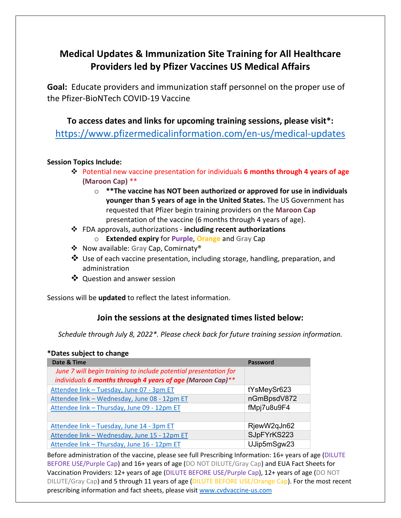## **Medical Updates & Immunization Site Training for All Healthcare Providers led by Pfizer Vaccines US Medical Affairs**

**Goal:** Educate providers and immunization staff personnel on the proper use of the Pfizer-BioNTech COVID-19 Vaccine

**To access dates and links for upcoming training sessions, please visit\*:** <https://www.pfizermedicalinformation.com/en-us/medical-updates>

## **Session Topics Include:**

- Potential new vaccine presentation for individuals **6 months through 4 years of age (Maroon Cap)** \*\*
	- o **\*\*The vaccine has NOT been authorized or approved for use in individuals younger than 5 years of age in the United States.** The US Government has requested that Pfizer begin training providers on the **Maroon Cap** presentation of the vaccine (6 months through 4 years of age).
- FDA approvals, authorizations **including recent authorizations**
	- o **Extended expiry** for **Purple**, **Orange** and **Gray** Cap
- Now available: **Gray** Cap, Comirnaty®
- Use of each vaccine presentation, including storage, handling, preparation, and administration
- ❖ Ouestion and answer session

Sessions will be **updated** to reflect the latest information.

## **Join the sessions at the designated times listed below:**

*Schedule through July 8, 2022\*. Please check back for future training session information.*

## **\*Dates subject to change**

| Date & Time                                                      | Password    |
|------------------------------------------------------------------|-------------|
| June 7 will begin training to include potential presentation for |             |
| individuals 6 months through 4 years of age (Maroon Cap)**       |             |
| Attendee link - Tuesday, June 07 - 3pm ET                        | tYsMeySr623 |
| Attendee link - Wednesday, June 08 - 12pm ET                     | nGmBpsdV872 |
| Attendee link - Thursday, June 09 - 12pm ET                      | fMpj7u8u9F4 |
|                                                                  |             |
| Attendee link - Tuesday, June 14 - 3pm ET                        | RjewW2qJn62 |
| Attendee link - Wednesday, June 15 - 12pm ET                     | SJpFYrKS223 |
| Attendee link - Thursday, June 16 - 12pm ET                      | UJip5mSgw23 |

Before administration of the vaccine, please see full Prescribing Information: 16+ years of age (DILUTE BEFORE USE/Purple Cap) and 16+ years of age (DO NOT DILUTE/Gray Cap) and EUA Fact Sheets for Vaccination Providers: 12+ years of age (DILUTE BEFORE USE/Purple Cap), 12+ years of age (DO NOT DILUTE/Gray Cap) and 5 through 11 years of age (DILUTE BEFORE USE/Orange Cap). For the most recent prescribing information and fact sheets, please visi[t www.cvdvaccine-us.com](http://www.cvdvaccine-us.com/)